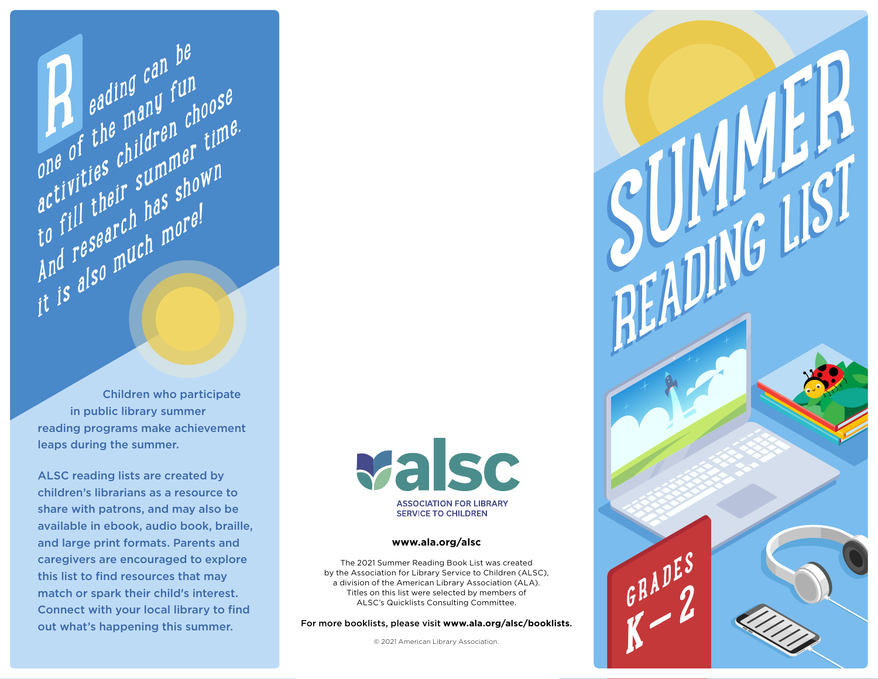Children who participate in public library summer reading programs make achievement leaps during the summer.

**P** eading can be

R

**Pading Curry funds**<br>one of the many funds eading can be<br>one of the many fun<br>activities children choose

to fill their summer time.

And research has shown

it is also much more!

ALSC reading lists are created by children's librarians as a resource to share with patrons, and may also be available in ebook, audio book, braille, and large print formats. Parents and caregivers are encouraged to explore this list to find resources that may match or spark their child's interest. Connect with your local library to find out what's happening this summer.



# **[www.ala.org/alsc](http://www.ala.org/alsc)**

The 2021 Summer Reading Book List was created by the Association for Library Service to Children (ALSC), a division of the American Library Association (ALA). Titles on this list were selected by members of ALSC's Quicklists Consulting Committee.

For more booklists, please visit **[www.ala.org/alsc/booklists](http://www.ala.org/alsc/booklists)**.

© 2021 American Library Association.